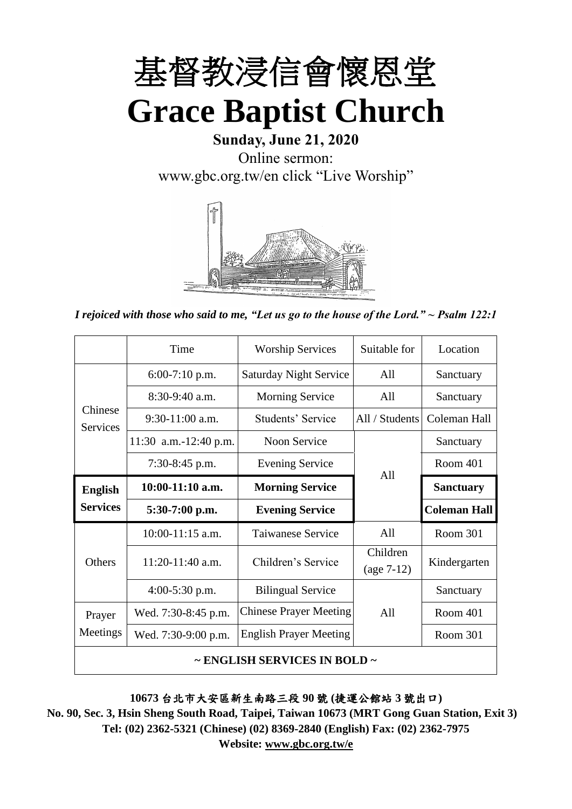

# **Sunday, June 21, 2020** Online sermon: [www.gbc.org.tw/en](http://www.gbc.org.tw/en) click "Live Worship"



*I rejoiced with those who said to me, "Let us go to the house of the Lord." ~ Psalm 122:1*

|                              | Time                  | Suitable for<br><b>Worship Services</b> |                          | Location            |
|------------------------------|-----------------------|-----------------------------------------|--------------------------|---------------------|
|                              | $6:00-7:10$ p.m.      | <b>Saturday Night Service</b>           | All                      | Sanctuary           |
|                              | $8:30-9:40$ a.m.      | <b>Morning Service</b>                  | All                      | Sanctuary           |
| Chinese<br><b>Services</b>   | $9:30-11:00$ a.m.     | Students' Service                       | All / Students           | Coleman Hall        |
|                              | 11:30 a.m.-12:40 p.m. | <b>Noon Service</b>                     |                          | Sanctuary           |
|                              | 7:30-8:45 p.m.        | <b>Evening Service</b>                  |                          | <b>Room 401</b>     |
| <b>English</b>               | $10:00-11:10$ a.m.    | <b>Morning Service</b>                  | A11                      | <b>Sanctuary</b>    |
| <b>Services</b>              | $5:30-7:00$ p.m.      | <b>Evening Service</b>                  |                          | <b>Coleman Hall</b> |
|                              | $10:00-11:15$ a.m.    | <b>Taiwanese Service</b>                | All                      | Room 301            |
| <b>Others</b>                | 11:20-11:40 a.m.      | Children's Service                      | Children<br>$(age 7-12)$ | Kindergarten        |
|                              | $4:00-5:30$ p.m.      | <b>Bilingual Service</b>                |                          | Sanctuary           |
| Prayer                       | Wed. 7:30-8:45 p.m.   | <b>Chinese Prayer Meeting</b>           |                          | Room 401            |
| Meetings                     | Wed. 7:30-9:00 p.m.   | <b>English Prayer Meeting</b>           |                          | Room 301            |
| ~ ENGLISH SERVICES IN BOLD ~ |                       |                                         |                          |                     |

**10673** 台北市大安區新生南路三段 **90** 號 **(**捷運公館站 **3** 號出口**)**

**No. 90, Sec. 3, Hsin Sheng South Road, Taipei, Taiwan 10673 (MRT Gong Guan Station, Exit 3) Tel: (02) 2362-5321 (Chinese) (02) 8369-2840 (English) Fax: (02) 2362-7975 Website: www.gbc.org.tw/e**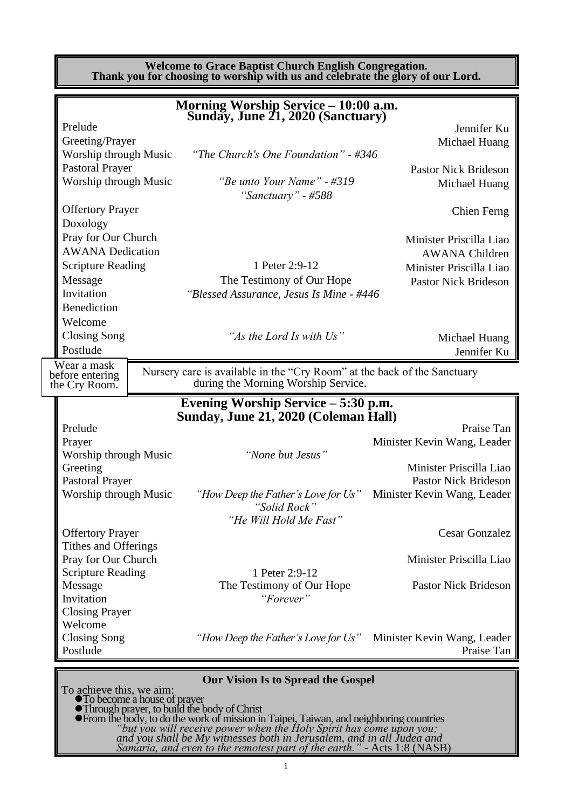**Welcome to Grace Baptist Church English Congregation. Thank you for choosing to worship with us and celebrate the glory of our Lord.**

|                          |  | Morning Worship Service - 10:00 a.m.<br>Sunday, June 21, 2020 (Sanctuary)                                 |                             |
|--------------------------|--|-----------------------------------------------------------------------------------------------------------|-----------------------------|
| Prelude                  |  |                                                                                                           | Jennifer Ku                 |
| Greeting/Prayer          |  |                                                                                                           | Michael Huang               |
| Worship through Music    |  | "The Church's One Foundation" - #346                                                                      |                             |
| <b>Pastoral Prayer</b>   |  |                                                                                                           | <b>Pastor Nick Brideson</b> |
| Worship through Music    |  | "Be unto Your Name" - #319<br>"Sanctuary" - #588                                                          | Michael Huang               |
| <b>Offertory Prayer</b>  |  |                                                                                                           | Chien Ferng                 |
| Doxology                 |  |                                                                                                           |                             |
| Pray for Our Church      |  |                                                                                                           | Minister Priscilla Liao     |
| <b>AWANA Dedication</b>  |  |                                                                                                           | <b>AWANA Children</b>       |
| <b>Scripture Reading</b> |  | 1 Peter 2:9-12                                                                                            | Minister Priscilla Liao     |
| Message                  |  | The Testimony of Our Hope                                                                                 | <b>Pastor Nick Brideson</b> |
| Invitation               |  | "Blessed Assurance, Jesus Is Mine - #446                                                                  |                             |
| <b>Benediction</b>       |  |                                                                                                           |                             |
| Welcome                  |  |                                                                                                           |                             |
| <b>Closing Song</b>      |  | "As the Lord Is with Us"                                                                                  | Michael Huang               |
| Postlude                 |  |                                                                                                           | Jennifer Ku                 |
| Wear a mask              |  |                                                                                                           |                             |
| before entering          |  | Nursery care is available in the "Cry Room" at the back of the Sanctuary                                  |                             |
| the Cry Room.            |  | during the Morning Worship Service.                                                                       |                             |
|                          |  | Evening Worship Service – 5:30 p.m.                                                                       |                             |
|                          |  | Sunday, June 21, 2020 (Coleman Hall)                                                                      |                             |
| Prelude                  |  |                                                                                                           | Praise Tan                  |
| Prayer                   |  |                                                                                                           | Minister Kevin Wang, Leader |
| Worship through Music    |  | "None but Jesus"                                                                                          |                             |
| Greeting                 |  |                                                                                                           | Minister Priscilla Liao     |
| <b>Pastoral Prayer</b>   |  |                                                                                                           | <b>Pastor Nick Brideson</b> |
| Worship through Music    |  | "How Deep the Father's Love for Us"<br>"Solid Rock"                                                       | Minister Kevin Wang, Leader |
|                          |  | "He Will Hold Me Fast"                                                                                    |                             |
| <b>Offertory Prayer</b>  |  |                                                                                                           | <b>Cesar Gonzalez</b>       |
| Tithes and Offerings     |  |                                                                                                           |                             |
| Pray for Our Church      |  |                                                                                                           | Minister Priscilla Liao     |
| <b>Scripture Reading</b> |  | 1 Peter 2:9-12                                                                                            |                             |
| Message                  |  | The Testimony of Our Hope                                                                                 | <b>Pastor Nick Brideson</b> |
| Invitation               |  | "Forever"                                                                                                 |                             |
| <b>Closing Prayer</b>    |  |                                                                                                           |                             |
| Welcome                  |  |                                                                                                           |                             |
| <b>Closing Song</b>      |  | <i>"How Deep the Father's Love for Us"</i> Minister Kevin Wang, Leader                                    |                             |
| Postlude                 |  |                                                                                                           | Praise Tan                  |
|                          |  |                                                                                                           |                             |
|                          |  | <b>Our Vision Is to Spread the Gospel</b>                                                                 |                             |
|                          |  | To achieve this, we aim:<br>• To become a house of prayer<br>• Through prayer to build the body of Christ |                             |
|                          |  |                                                                                                           |                             |

⚫Through prayer, to build the body of Christ ⚫From the body, to do the work of mission in Taipei, Taiwan, and neighboring countries *"but you will receive power when the Holy Spirit has come upon you; and you shall be My witnesses both in Jerusalem, and in all Judea and Samaria, and even to the remotest part of the earth."* - Acts 1:8 (NASB)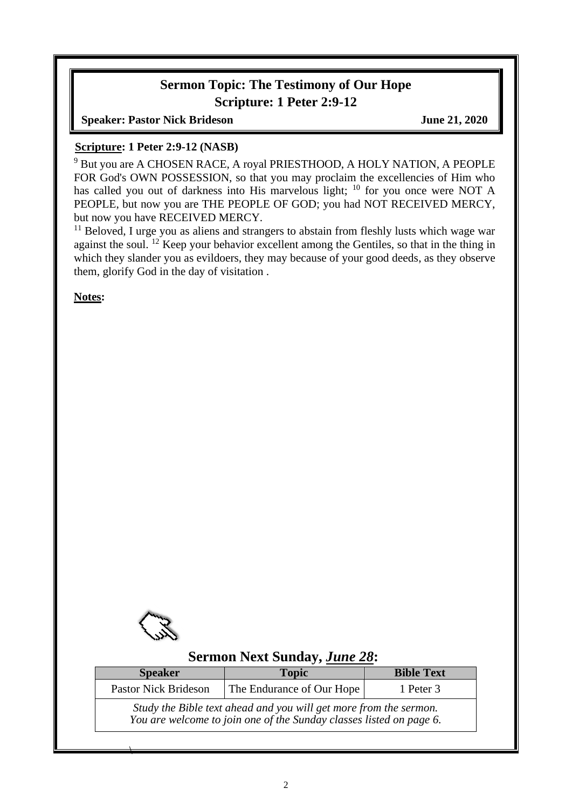#### **Sermon Topic: The Testimony of Our Hope Scripture: 1 Peter 2:9-12**

**Speaker: Pastor Nick Brideson June 21, 2020** 

#### **Scripture: 1 Peter 2:9-12 (NASB)**

<sup>9</sup> But you are A CHOSEN RACE, A royal PRIESTHOOD, A HOLY NATION, A PEOPLE FOR God's OWN POSSESSION, so that you may proclaim the excellencies of Him who has called you out of darkness into His marvelous light; <sup>10</sup> for you once were NOT A PEOPLE, but now you are THE PEOPLE OF GOD; you had NOT RECEIVED MERCY, but now you have RECEIVED MERCY.

<sup>11</sup> Beloved, I urge you as aliens and strangers to abstain from fleshly lusts which wage war against the soul. <sup>12</sup> Keep your behavior excellent among the Gentiles, so that in the thing in which they slander you as evildoers, they may because of your good deeds, as they observe them, glorify God in the day of visitation .

**Notes:**



 $\overline{\phantom{a}}$ 

# **Sermon Next Sunday,** *June 28***:**

| <b>Speaker</b>                                                                                                                           | <b>Topic</b>              |           |  |  |
|------------------------------------------------------------------------------------------------------------------------------------------|---------------------------|-----------|--|--|
| <b>Pastor Nick Brideson</b>                                                                                                              | The Endurance of Our Hope | 1 Peter 3 |  |  |
| Study the Bible text ahead and you will get more from the sermon.<br>You are welcome to join one of the Sunday classes listed on page 6. |                           |           |  |  |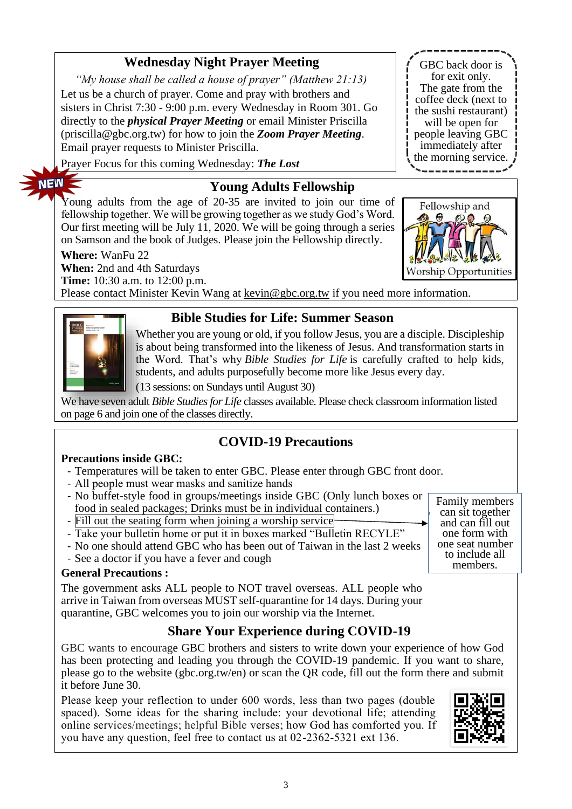## **Wednesday Night Prayer Meeting**

*"My house shall be called a house of prayer" (Matthew 21:13)* Let us be a church of prayer. Come and pray with brothers and sisters in Christ 7:30 - 9:00 p.m. every Wednesday in Room 301. Go directly to the *physical Prayer Meeting* or email Minister Priscilla (priscilla@gbc.org.tw) for how to join the *Zoom Prayer Meeting*. Email prayer requests to Minister Priscilla.

Prayer Focus for this coming Wednesday: *The Lost*

#### **Young Adults Fellowship**

Young adults from the age of 20-35 are invited to join our time of fellowship together. We will be growing together as we study God's Word. Our first meeting will be July 11, 2020. We will be going through a series on Samson and the book of Judges. Please join the Fellowship directly.

**Where:** WanFu 22 **When:** 2nd and 4th Saturdays Worship **Time:** 10:30 a.m. to 12:00 p.m. Please contact Minister Kevin Wang at [kevin@gbc.org.tw](mailto:kevin@gbc.org.tw) if you need more information.



**NEW** 

#### **Bible Studies for Life: Summer Season**

Whether you are young or old, if you follow Jesus, you are a disciple. Discipleship is about being transformed into the likeness of Jesus. And transformation starts in the Word. That's why *Bible Studies for Life* is carefully crafted to help kids, students, and adults purposefully become more like Jesus every day.

(13 sessions: on Sundays until August 30)

We have seven adult *Bible Studies for Life* classes available. Please check classroom information listed on page 6 and join one of the classes directly.

# **COVID-19 Precautions**

#### **Precautions inside GBC:**

- Temperatures will be taken to enter GBC. Please enter through GBC front door.
- All people must wear masks and sanitize hands
- No buffet-style food in groups/meetings inside GBC (Only lunch boxes or food in sealed packages; Drinks must be in individual containers.)
- Fill out the seating form when joining a worship service
- Take your bulletin home or put it in boxes marked "Bulletin RECYLE"
- No one should attend GBC who has been out of Taiwan in the last 2 weeks
- See a doctor if you have a fever and cough

#### **General Precautions :**

The government asks ALL people to NOT travel overseas. ALL people who arrive in Taiwan from overseas MUST self-quarantine for 14 days. During your quarantine, GBC welcomes you to join our worship via the Internet.

#### **Share Your Experience during COVID-19**

GBC wants to encourage GBC brothers and sisters to write down your experience of how God has been protecting and leading you through the COVID-19 pandemic. If you want to share, please go to the website (gbc.org.tw/en) or scan the QR code, fill out the form there and submit it before June 30.

3

Please keep your reflection to under 600 words, less than two pages (double spaced). Some ideas for the sharing include: your devotional life; attending online services/meetings; helpful Bible verses; how God has comforted you. If you have any question, feel free to contact us at 02-2362-5321 ext 136.



Family members can sit together and can fill out one form with one seat number to include all members.

Fellowship and Opportunities

GBC back door is for exit only. The gate from the coffee deck (next to the sushi restaurant) will be open for people leaving GBC immediately after the morning service.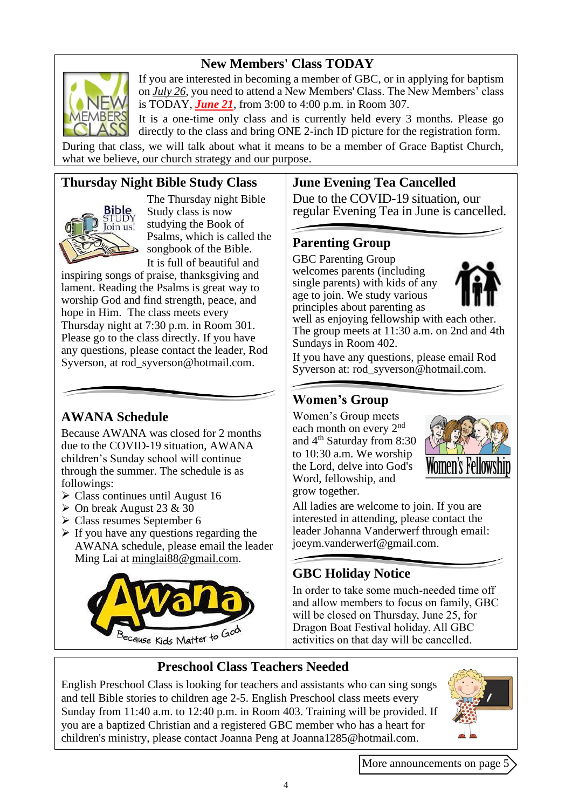## **New Members' Class TODAY**



If you are interested in becoming a member of GBC, or in applying for baptism on *July 26*, you need to attend a New Members' Class. The New Members' class is TODAY, *June 21*, from 3:00 to 4:00 p.m. in Room 307.

It is a one-time only class and is currently held every 3 months. Please go directly to the class and bring ONE 2-inch ID picture for the registration form. During that class, we will talk about what it means to be a member of Grace Baptist Church, what we believe, our church strategy and our purpose.

## **Thursday Night Bible Study Class**



The Thursday night Bible Study class is now studying the Book of Psalms, which is called the songbook of the Bible. It is full of beautiful and

inspiring songs of praise, thanksgiving and lament. Reading the Psalms is great way to worship God and find strength, peace, and hope in Him. The class meets every Thursday night at 7:30 p.m. in Room 301. Please go to the class directly. If you have any questions, please contact the leader, Rod Syverson, at [rod\\_syverson@hotmail.com.](mailto:rod_syverson@hotmail.com)

# **AWANA Schedule**

Because AWANA was closed for 2 months due to the COVID-19 situation, AWANA children's Sunday school will continue through the summer. The schedule is as followings:

- $\triangleright$  Class continues until August 16
- $\triangleright$  On break August 23 & 30
- ➢ Class resumes September 6
- $\triangleright$  If you have any questions regarding the AWANA schedule, please email the leader Ming Lai at [minglai88@gmail.com.](mailto:minglai88@gmail.com)



#### **June Evening Tea Cancelled**

Due to the COVID-19 situation, our regular Evening Tea in June is cancelled.

#### **Parenting Group**

GBC Parenting Group welcomes parents (including single parents) with kids of any age to join. We study various principles about parenting as



well as enjoying fellowship with each other. The group meets at 11:30 a.m. on 2nd and 4th Sundays in Room 402.

If you have any questions, please email Rod Syverson at: [rod\\_syverson@hotmail.com.](mailto:rod_syverson@hotmail.com)

## **Women's Group**

Women's Group meets each month on every 2<sup>nd</sup> and 4th Saturday from 8:30 to 10:30 a.m. We worship the Lord, delve into God's Word, fellowship, and grow together.



All ladies are welcome to join. If you are interested in attending, please contact the leader Johanna Vanderwerf through email: [joeym.vanderwerf@gmail.com.](mailto:joeym.vanderwerf@gmail.com)

# **GBC Holiday Notice**

In order to take some much-needed time off and allow members to focus on family, GBC will be closed on Thursday, June 25, for Dragon Boat Festival holiday. All GBC activities on that day will be cancelled.

# **Preschool Class Teachers Needed**

English Preschool Class is looking for teachers and assistants who can sing songs and tell Bible stories to children age 2-5. English Preschool class meets every Sunday from 11:40 a.m. to 12:40 p.m. in Room 403. Training will be provided. If you are a baptized Christian and a registered GBC member who has a heart for children's ministry, please contact Joanna Peng at Joanna1285@hotmail.com.



More announcements on page 5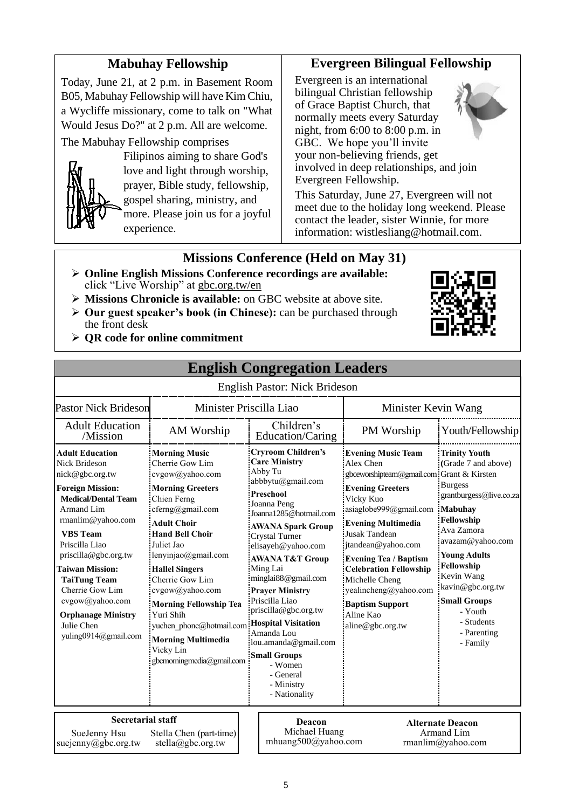## **Mabuhay Fellowship**

Today, June 21, at 2 p.m. in Basement Room B05, Mabuhay Fellowship will have Kim Chiu, a Wycliffe missionary, come to talk on "What Would Jesus Do?" at 2 p.m. All are welcome.

The Mabuhay Fellowship comprises



Filipinos aiming to share God's love and light through worship, prayer, Bible study, fellowship, gospel sharing, ministry, and more. Please join us for a joyful experience.

#### **Evergreen Bilingual Fellowship**

Evergreen is an international bilingual Christian fellowship of Grace Baptist Church, that normally meets every Saturday night, from 6:00 to 8:00 p.m. in GBC. We hope you'll invite your non-believing friends, get involved in deep relationships, and join Evergreen Fellowship.



This Saturday, June 27, Evergreen will not meet due to the holiday long weekend. Please contact the leader, sister Winnie, for more information: wistlesliang@hotmail.com.

#### **Missions Conference (Held on May 31)**

- ➢ **Online English Missions Conference recordings are available:**  click "Live Worship" at gbc.org.tw/en
- ➢ **Missions Chronicle is available:** on GBC website at above site.
- ➢ **Our guest speaker's book (in Chinese):** can be purchased through the front desk
- 

➢ **QR code for online commitment**

|                                                                                                                                                                                                                                                                                                                                                                               |                                                                                                                                                                                                                                                                                                                                                                                                                               | <b>English Congregation Leaders</b>                                                                                                                                                                                                                                                                                                                                                                                                                                                                |                                                                                                                                                                                                                                                                                                                                                                                                         |                                                                                                                                                                                                                                                                                                       |
|-------------------------------------------------------------------------------------------------------------------------------------------------------------------------------------------------------------------------------------------------------------------------------------------------------------------------------------------------------------------------------|-------------------------------------------------------------------------------------------------------------------------------------------------------------------------------------------------------------------------------------------------------------------------------------------------------------------------------------------------------------------------------------------------------------------------------|----------------------------------------------------------------------------------------------------------------------------------------------------------------------------------------------------------------------------------------------------------------------------------------------------------------------------------------------------------------------------------------------------------------------------------------------------------------------------------------------------|---------------------------------------------------------------------------------------------------------------------------------------------------------------------------------------------------------------------------------------------------------------------------------------------------------------------------------------------------------------------------------------------------------|-------------------------------------------------------------------------------------------------------------------------------------------------------------------------------------------------------------------------------------------------------------------------------------------------------|
|                                                                                                                                                                                                                                                                                                                                                                               |                                                                                                                                                                                                                                                                                                                                                                                                                               | English Pastor: Nick Brideson                                                                                                                                                                                                                                                                                                                                                                                                                                                                      |                                                                                                                                                                                                                                                                                                                                                                                                         |                                                                                                                                                                                                                                                                                                       |
| <b>Pastor Nick Brideson</b>                                                                                                                                                                                                                                                                                                                                                   |                                                                                                                                                                                                                                                                                                                                                                                                                               | Minister Priscilla Liao                                                                                                                                                                                                                                                                                                                                                                                                                                                                            | Minister Kevin Wang                                                                                                                                                                                                                                                                                                                                                                                     |                                                                                                                                                                                                                                                                                                       |
| <b>Adult Education</b><br>/Mission                                                                                                                                                                                                                                                                                                                                            | AM Worship                                                                                                                                                                                                                                                                                                                                                                                                                    | Children's<br>Education/Caring                                                                                                                                                                                                                                                                                                                                                                                                                                                                     | PM Worship                                                                                                                                                                                                                                                                                                                                                                                              | Youth/Fellowship                                                                                                                                                                                                                                                                                      |
| <b>Adult Education</b><br>Nick Brideson<br>nick@gbc.org.tw<br><b>Foreign Mission:</b><br><b>Medical/Dental Team</b><br>Armand Lim<br>rmanlim@yahoo.com<br><b>VBS</b> Team<br>Priscilla Liao<br>priscilla@gbc.org.tw<br><b>Taiwan Mission:</b><br><b>TaiTung Team</b><br>Cherrie Gow Lim<br>cvgow@yahoo.com<br><b>Orphanage Ministry</b><br>Julie Chen<br>yuling0914@gmail.com | <b>Morning Music</b><br>Cherrie Gow Lim<br>cvgow@yahoo.com<br><b>Morning Greeters</b><br>Chien Ferng<br>cferng@gmail.com<br><b>Adult Choir</b><br><b>Hand Bell Choir</b><br>Juliet Jao<br>lenyinjao@gmail.com<br><b>Hallel Singers</b><br>Cherrie Gow Lim<br>cvgow@yahoo.com<br><b>Morning Fellowship Tea</b><br>Yuri Shih<br>yuchen phone@hotmail.com<br><b>Morning Multimedia</b><br>Vicky Lin<br>gbcmorningmedia@gmail.com | <b>Cryroom Children's</b><br><b>Care Ministry</b><br>Abby Tu<br>abbbytu@gmail.com<br>Preschool<br>Joanna Peng<br>Joanna1285@hotmail.com<br><b>AWANA Spark Group</b><br>Crystal Turner<br>elisayeh@yahoo.com<br><b>AWANA T&amp;T Group</b><br>Ming Lai<br>minglai88@gmail.com<br><b>Prayer Ministry</b><br>Priscilla Liao<br>priscilla@gbc.org.tw<br><b>Hospital Visitation</b><br>Amanda Lou<br>lou.amanda@gmail.com<br><b>Small Groups</b><br>- Women<br>- General<br>- Ministry<br>- Nationality | <b>Evening Music Team</b><br>Alex Chen<br>gbceworshipteam@gmail.com Grant & Kirsten<br><b>Evening Greeters</b><br>Vicky Kuo<br>asiaglobe999@gmail.com<br><b>Evening Multimedia</b><br><b>Jusak Tandean</b><br>jtandean@yahoo.com<br><b>Evening Tea / Baptism</b><br><b>Celebration Fellowship</b><br>Michelle Cheng<br>yealincheng@yahoo.com<br><b>Baptism Support</b><br>Aline Kao<br>aline@gbc.org.tw | <b>Trinity Youth</b><br>(Grade 7 and above)<br><b>Burgess</b><br>grantburgess@live.co.za<br>Mabuhav<br>Fellowship<br>Ava Zamora<br>avazam@yahoo.com<br><b>Young Adults</b><br>Fellowship<br>Kevin Wang<br>kavin@gbc.org.tw<br><b>Small Groups</b><br>- Youth<br>- Students<br>- Parenting<br>- Family |
| <b>Secretarial staff</b><br>SueJenny Hsu<br>Stella Chen (part-time)<br>suejenny@gbc.org.tw<br>stella@gbc.org.tw                                                                                                                                                                                                                                                               |                                                                                                                                                                                                                                                                                                                                                                                                                               | Deacon<br>Michael Huang<br>mhuang500@yahoo.com                                                                                                                                                                                                                                                                                                                                                                                                                                                     |                                                                                                                                                                                                                                                                                                                                                                                                         | <b>Alternate Deacon</b><br>Armand Lim<br>rmanlim@yahoo.com                                                                                                                                                                                                                                            |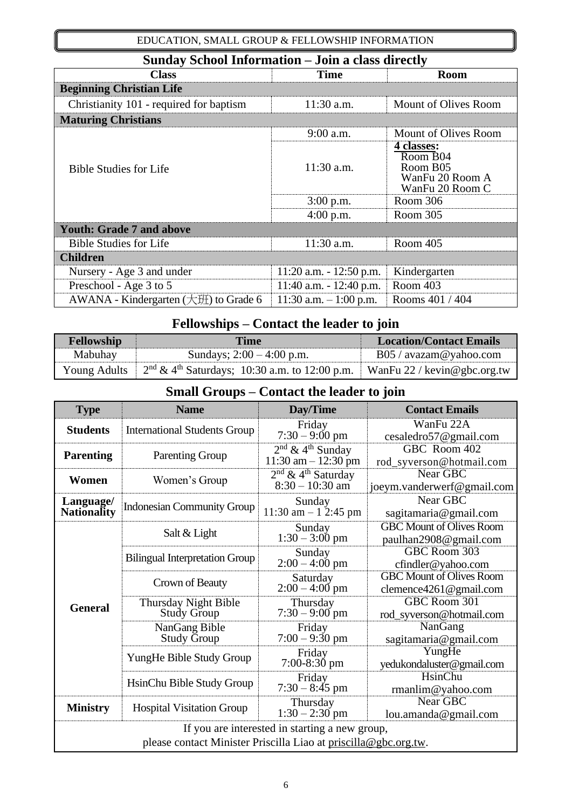#### EDUCATION, SMALL GROUP & FELLOWSHIP INFORMATION

| Sunday School Information – Join a class directly   |                            |                                                                          |  |
|-----------------------------------------------------|----------------------------|--------------------------------------------------------------------------|--|
| <b>Class</b>                                        | <b>Time</b>                | <b>Room</b>                                                              |  |
| <b>Beginning Christian Life</b>                     |                            |                                                                          |  |
| Christianity 101 - required for baptism             | 11:30 a.m.                 | Mount of Olives Room                                                     |  |
| <b>Maturing Christians</b>                          |                            |                                                                          |  |
|                                                     | 9:00 a.m.                  | <b>Mount of Olives Room</b>                                              |  |
| <b>Bible Studies for Life</b>                       | $11:30$ a.m.               | 4 classes:<br>Room B04<br>Room B05<br>WanFu 20 Room A<br>WanFu 20 Room C |  |
|                                                     | $3:00$ p.m.                | Room 306                                                                 |  |
|                                                     | $4:00$ p.m.                | Room 305                                                                 |  |
| <b>Youth: Grade 7 and above</b>                     |                            |                                                                          |  |
| <b>Bible Studies for Life</b>                       | 11:30 a.m.                 | Room 405                                                                 |  |
| <b>Children</b>                                     |                            |                                                                          |  |
| Nursery - Age 3 and under                           | $11:20$ a.m. $-12:50$ p.m. | Kindergarten                                                             |  |
| Preschool - Age 3 to 5                              | 11:40 a.m. $- 12:40$ p.m.  | Room 403                                                                 |  |
| AWANA - Kindergarten $(\pm \mathcal{H})$ to Grade 6 | 11:30 a.m. $-1:00$ p.m.    | Rooms 401 / 404                                                          |  |

# **Fellowships – Contact the leader to join**

| Fellowship<br><b>Time</b> |                                                                                                        | <b>Location/Contact Emails</b>  |
|---------------------------|--------------------------------------------------------------------------------------------------------|---------------------------------|
| Mabuhay                   | Sundays; $2:00 - 4:00$ p.m.                                                                            | $B05 / \text{avazam@yahoo.com}$ |
|                           | Young Adults $\frac{2^{nd} \& 4^{th} Saturdays$ ; 10:30 a.m. to 12:00 p.m. WanFu 22 / kevin@gbc.org.tw |                                 |

# **Small Groups – Contact the leader to join**

| <b>Type</b>                                                                                                       | <b>Name</b>                                | Day/Time                                                 | <b>Contact Emails</b>                                     |  |
|-------------------------------------------------------------------------------------------------------------------|--------------------------------------------|----------------------------------------------------------|-----------------------------------------------------------|--|
| <b>Students</b>                                                                                                   | <b>International Students Group</b>        | Friday<br>$7:30 - 9:00 \text{ pm}$                       | WanFu 22A<br>cesaledro57@gmail.com                        |  |
| <b>Parenting</b>                                                                                                  | <b>Parenting Group</b>                     | $2nd$ & 4 <sup>th</sup> Sunday<br>$11:30$ am $-12:30$ pm | GBC Room 402<br>rod_syverson@hotmail.com                  |  |
| Women                                                                                                             | Women's Group                              | $2nd$ & 4 <sup>th</sup> Saturday<br>$8:30 - 10:30$ am    | Near GBC<br>joeym.vanderwerf@gmail.com                    |  |
| Language/<br><b>Nationality</b>                                                                                   | <b>Indonesian Community Group</b>          | Sunday<br>11:30 am $-$ 1 2:45 pm                         | Near GBC<br>sagitamaria@gmail.com                         |  |
|                                                                                                                   | Salt & Light                               | Sunday<br>$1:30 - 3:00$ pm                               | <b>GBC Mount of Olives Room</b><br>paulhan2908@gmail.com  |  |
|                                                                                                                   | <b>Bilingual Interpretation Group</b>      | Sunday<br>$2:00 - 4:00$ pm                               | GBC Room 303<br>cfindler@yahoo.com                        |  |
|                                                                                                                   | Crown of Beauty                            | Saturday<br>$2:00 - 4:00$ pm                             | <b>GBC Mount of Olives Room</b><br>clemence4261@gmail.com |  |
| <b>General</b>                                                                                                    | Thursday Night Bible<br><b>Study Group</b> | Thursday<br>$7:30 - 9:00$ pm                             | GBC Room 301<br>rod_syverson@hotmail.com                  |  |
|                                                                                                                   | NanGang Bible<br>Study Group               | Friday<br>$7:00 - 9:30$ pm                               | NanGang<br>sagitamaria@gmail.com                          |  |
|                                                                                                                   | YungHe Bible Study Group                   | Friday<br>$7:00-8:30$ pm                                 | YungHe<br>yedukondaluster@gmail.com                       |  |
|                                                                                                                   | HsinChu Bible Study Group                  | Friday<br>$7:30 - 8:45$ pm                               | HsinChu<br>rmanlim@yahoo.com                              |  |
| <b>Ministry</b>                                                                                                   | <b>Hospital Visitation Group</b>           | Thursday<br>$1:30 - 2:30$ pm                             | Near GBC<br>lou.amanda@gmail.com                          |  |
| If you are interested in starting a new group,<br>please contact Minister Priscilla Liao at priscilla@gbc.org.tw. |                                            |                                                          |                                                           |  |